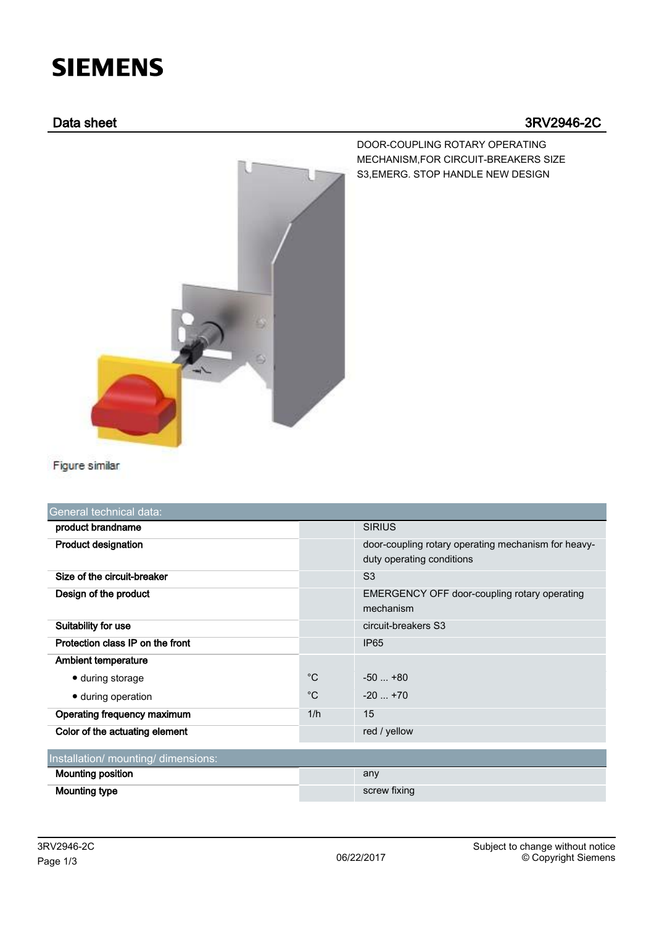# **SIEMENS**

## Data sheet 3RV2946-2C



DOOR-COUPLING ROTARY OPERATING MECHANISM,FOR CIRCUIT-BREAKERS SIZE S3,EMERG. STOP HANDLE NEW DESIGN

Figure similar

| General technical data:             |             |                                                                                  |
|-------------------------------------|-------------|----------------------------------------------------------------------------------|
| product brandname                   |             | <b>SIRIUS</b>                                                                    |
| <b>Product designation</b>          |             | door-coupling rotary operating mechanism for heavy-<br>duty operating conditions |
| Size of the circuit-breaker         |             | S <sub>3</sub>                                                                   |
| Design of the product               |             | EMERGENCY OFF door-coupling rotary operating<br>mechanism                        |
| Suitability for use                 |             | circuit-breakers S3                                                              |
| Protection class IP on the front    |             | IP <sub>65</sub>                                                                 |
| <b>Ambient temperature</b>          |             |                                                                                  |
| • during storage                    | $^{\circ}C$ | $-50+80$                                                                         |
| • during operation                  | $^{\circ}C$ | $-20+70$                                                                         |
| Operating frequency maximum         | 1/h         | 15                                                                               |
| Color of the actuating element      |             | red / yellow                                                                     |
| Installation/ mounting/ dimensions: |             |                                                                                  |
| <b>Mounting position</b>            |             | any                                                                              |
| <b>Mounting type</b>                |             | screw fixing                                                                     |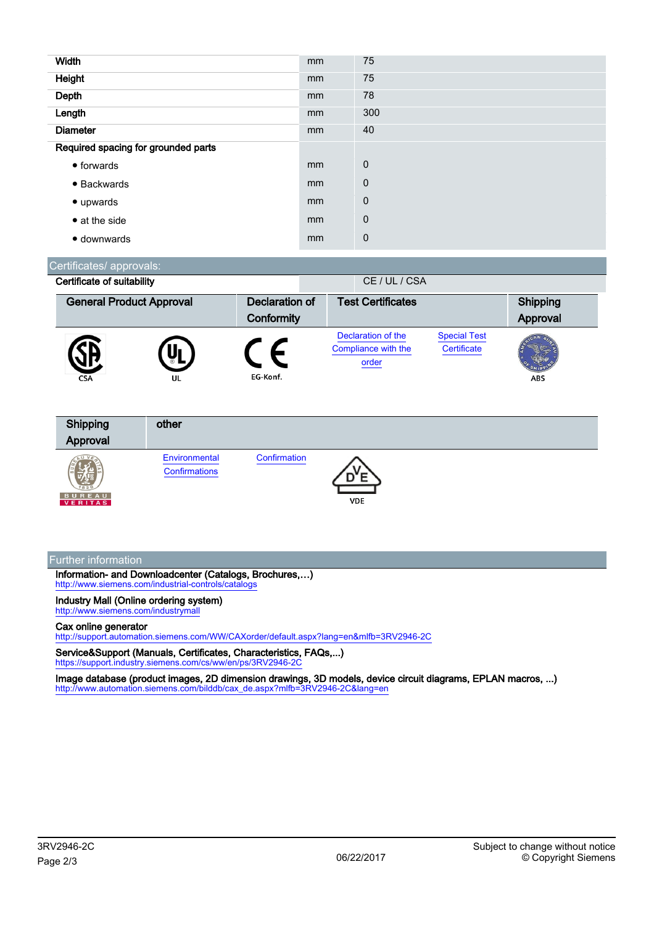| Width                               | mm | 75          |
|-------------------------------------|----|-------------|
| Height                              | mm | 75          |
| Depth                               | mm | 78          |
| Length                              | mm | 300         |
| <b>Diameter</b>                     | mm | 40          |
| Required spacing for grounded parts |    |             |
| • forwards                          | mm | $\mathbf 0$ |
| • Backwards                         | mm | $\mathbf 0$ |
| $\bullet$ upwards                   | mm | $\mathbf 0$ |
| $\bullet$ at the side               | mm | $\mathbf 0$ |
| $\bullet$ downwards                 | mm | $\mathbf 0$ |

### Certificates/ approvals:

| Certificate of suitability      |    |                                                   | CE / UL / CSA                                      |                                    |            |
|---------------------------------|----|---------------------------------------------------|----------------------------------------------------|------------------------------------|------------|
| <b>General Product Approval</b> |    | <b>Declaration of</b><br><b>Test Certificates</b> |                                                    | Shipping                           |            |
|                                 |    | Conformity                                        |                                                    |                                    | Approval   |
| <b>CSA</b>                      | UL | EG-Konf.                                          | Declaration of the<br>Compliance with the<br>order | <b>Special Test</b><br>Certificate | <b>ABS</b> |

| Shipping<br>Approval                  | other                                 |              |            |  |  |
|---------------------------------------|---------------------------------------|--------------|------------|--|--|
| $\frac{1}{1828}$<br>BUREAU<br>VERITAS | Environmental<br><b>Confirmations</b> | Confirmation | <b>VDE</b> |  |  |

### Further information

Information- and Downloadcenter (Catalogs, Brochures,…) <http://www.siemens.com/industrial-controls/catalogs>

Industry Mall (Online ordering system) <http://www.siemens.com/industrymall>

#### Cax online generator

<http://support.automation.siemens.com/WW/CAXorder/default.aspx?lang=en&mlfb=3RV2946-2C>

Service&Support (Manuals, Certificates, Characteristics, FAQs,...) <https://support.industry.siemens.com/cs/ww/en/ps/3RV2946-2C>

Image database (product images, 2D dimension drawings, 3D models, device circuit diagrams, EPLAN macros, ...) [http://www.automation.siemens.com/bilddb/cax\\_de.aspx?mlfb=3RV2946-2C&lang=en](http://www.automation.siemens.com/bilddb/cax_de.aspx?mlfb=3RV2946-2C&lang=en)